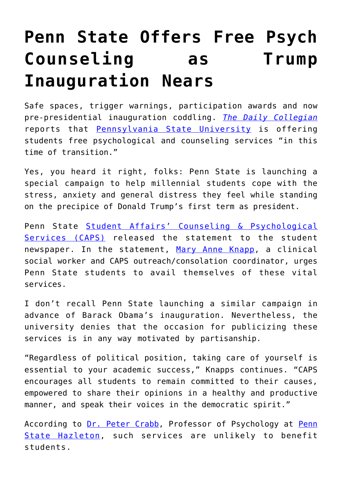## **[Penn State Offers Free Psych](https://intellectualtakeout.org/2017/01/penn-state-offers-free-psych-counseling-as-trump-inauguration-nears/) [Counseling as Trump](https://intellectualtakeout.org/2017/01/penn-state-offers-free-psych-counseling-as-trump-inauguration-nears/) [Inauguration Nears](https://intellectualtakeout.org/2017/01/penn-state-offers-free-psych-counseling-as-trump-inauguration-nears/)**

Safe spaces, trigger warnings, participation awards and now pre-presidential inauguration coddling. *[The Daily Collegian](http://www.collegian.psu.edu/news/campus/article_e7f33988-d860-11e6-9b1a-abb7ab54fc17.html)* reports that [Pennsylvania State University](http://www.psu.edu/) is offering students free psychological and counseling services "in this time of transition."

Yes, you heard it right, folks: Penn State is launching a special campaign to help millennial students cope with the stress, anxiety and general distress they feel while standing on the precipice of Donald Trump's first term as president.

Penn State [Student Affairs' Counseling & Psychological](http://studentaffairs.psu.edu/counseling/) [Services \(CAPS\)](http://studentaffairs.psu.edu/counseling/) released the statement to the student newspaper. In the statement, [Mary Anne Knapp](http://studentaffairs.psu.edu/counseling/staff.shtml), a clinical social worker and CAPS outreach/consolation coordinator, urges Penn State students to avail themselves of these vital services.

I don't recall Penn State launching a similar campaign in advance of Barack Obama's inauguration. Nevertheless, the university denies that the occasion for publicizing these services is in any way motivated by partisanship.

"Regardless of political position, taking care of yourself is essential to your academic success," Knapps continues. "CAPS encourages all students to remain committed to their causes, empowered to share their opinions in a healthy and productive manner, and speak their voices in the democratic spirit."

According to [Dr. Peter Crabb,](http://crabb.socialpsychology.org/) Professor of Psychology at [Penn](http://hazleton.psu.edu/) [State Hazleton,](http://hazleton.psu.edu/) such services are unlikely to benefit students.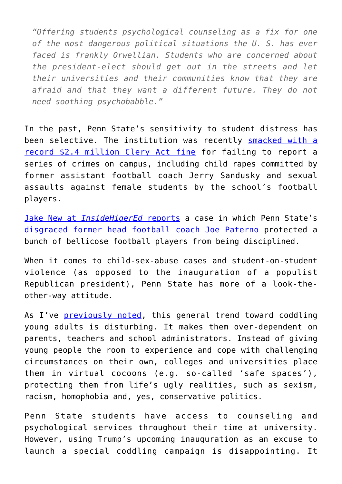*"Offering students psychological counseling as a fix for one of the most dangerous political situations the U. S. has ever faced is frankly Orwellian. Students who are concerned about the president-elect should get out in the streets and let their universities and their communities know that they are afraid and that they want a different future. They do not need soothing psychobabble."*

In the past, Penn State's sensitivity to student distress has been selective. The institution was recently **[smacked with a](https://www.insidehighered.com/news/2016/11/04/education-departments-historic-sanction-against-penn-state-clery-violations)** [record \\$2.4 million Clery Act fine](https://www.insidehighered.com/news/2016/11/04/education-departments-historic-sanction-against-penn-state-clery-violations) for failing to report a series of crimes on campus, including child rapes committed by former assistant football coach Jerry Sandusky and sexual assaults against female students by the school's football players.

[Jake New at](https://www.insidehighered.com/news/2016/11/04/education-departments-historic-sanction-against-penn-state-clery-violations) *[InsideHigerEd](https://www.insidehighered.com/news/2016/11/04/education-departments-historic-sanction-against-penn-state-clery-violations)* [reports](https://www.insidehighered.com/news/2016/11/04/education-departments-historic-sanction-against-penn-state-clery-violations) a case in which Penn State's [disgraced former head football coach Joe Paterno](https://www.nytimes.com/2016/09/17/sports/ncaafootball/why-is-penn-state-celebrating-joe-paterno.html) protected a bunch of bellicose football players from being disciplined.

When it comes to child-sex-abuse cases and student-on-student violence (as opposed to the inauguration of a populist Republican president), Penn State has more of a look-theother-way attitude.

As I've **previously noted**, this general trend toward coddling young adults is disturbing. It makes them over-dependent on parents, teachers and school administrators. Instead of giving young people the room to experience and cope with challenging circumstances on their own, colleges and universities place them in virtual cocoons (e.g. so-called 'safe spaces'), protecting them from life's ugly realities, such as sexism, racism, homophobia and, yes, conservative politics.

Penn State students have access to counseling and psychological services throughout their time at university. However, using Trump's upcoming inauguration as an excuse to launch a special coddling campaign is disappointing. It